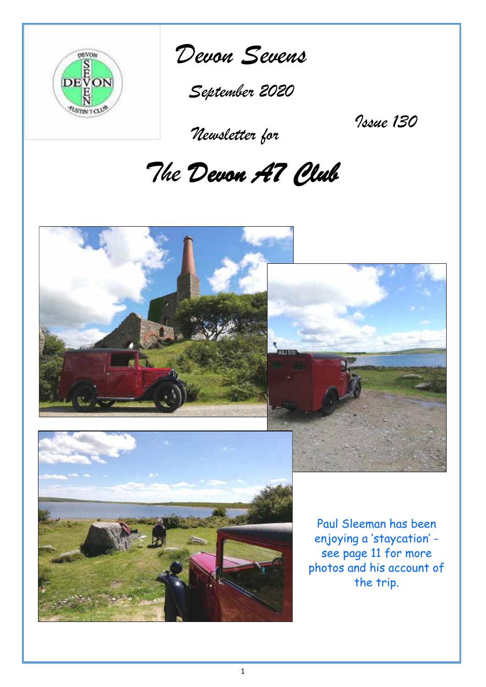



*September 2020*

 *Newsletter for*

*Issue 130*

# *The Devon A7 Club*

**SHERI** 





Paul Sleeman has been enjoying a 'staycation' see page 11 for more photos and his account of the trip.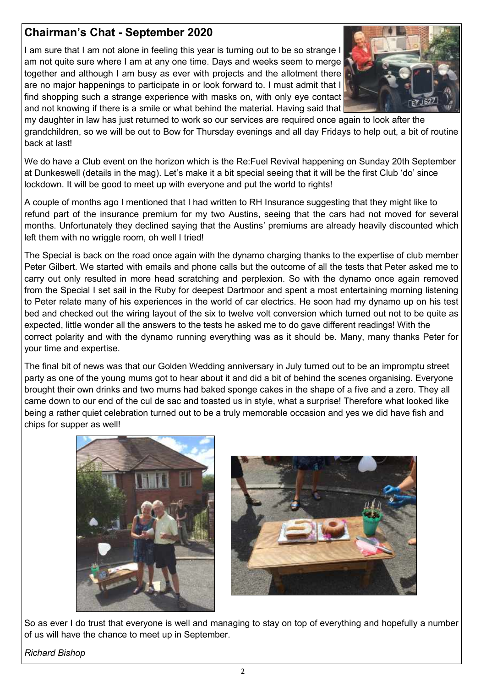# **Chairman's Chat - September 2020**

I am sure that I am not alone in feeling this year is turning out to be so strange I am not quite sure where I am at any one time. Days and weeks seem to merge together and although I am busy as ever with projects and the allotment there are no major happenings to participate in or look forward to. I must admit that I find shopping such a strange experience with masks on, with only eye contact and not knowing if there is a smile or what behind the material. Having said that



my daughter in law has just returned to work so our services are required once again to look after the grandchildren, so we will be out to Bow for Thursday evenings and all day Fridays to help out, a bit of routine back at last!

We do have a Club event on the horizon which is the Re:Fuel Revival happening on Sunday 20th September at Dunkeswell (details in the mag). Let's make it a bit special seeing that it will be the first Club 'do' since lockdown. It will be good to meet up with everyone and put the world to rights!

A couple of months ago I mentioned that I had written to RH Insurance suggesting that they might like to refund part of the insurance premium for my two Austins, seeing that the cars had not moved for several months. Unfortunately they declined saying that the Austins' premiums are already heavily discounted which left them with no wriggle room, oh well I tried!

The Special is back on the road once again with the dynamo charging thanks to the expertise of club member Peter Gilbert. We started with emails and phone calls but the outcome of all the tests that Peter asked me to carry out only resulted in more head scratching and perplexion. So with the dynamo once again removed from the Special I set sail in the Ruby for deepest Dartmoor and spent a most entertaining morning listening to Peter relate many of his experiences in the world of car electrics. He soon had my dynamo up on his test bed and checked out the wiring layout of the six to twelve volt conversion which turned out not to be quite as expected, little wonder all the answers to the tests he asked me to do gave different readings! With the correct polarity and with the dynamo running everything was as it should be. Many, many thanks Peter for your time and expertise.

The final bit of news was that our Golden Wedding anniversary in July turned out to be an impromptu street party as one of the young mums got to hear about it and did a bit of behind the scenes organising. Everyone brought their own drinks and two mums had baked sponge cakes in the shape of a five and a zero. They all came down to our end of the cul de sac and toasted us in style, what a surprise! Therefore what looked like being a rather quiet celebration turned out to be a truly memorable occasion and yes we did have fish and chips for supper as well!





So as ever I do trust that everyone is well and managing to stay on top of everything and hopefully a number of us will have the chance to meet up in September.

*Richard Bishop*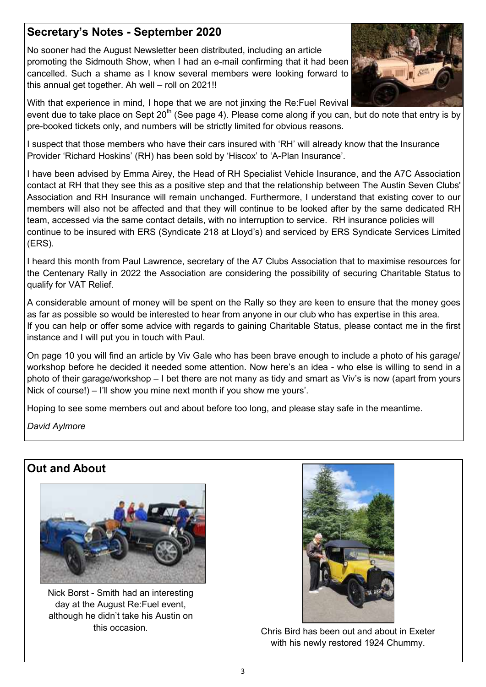# **Secretary's Notes - September 2020**

No sooner had the August Newsletter been distributed, including an article promoting the Sidmouth Show, when I had an e-mail confirming that it had been cancelled. Such a shame as I know several members were looking forward to this annual get together. Ah well – roll on 2021!!



With that experience in mind, I hope that we are not jinxing the Re:Fuel Revival

event due to take place on Sept 20<sup>th</sup> (See page 4). Please come along if you can, but do note that entry is by pre-booked tickets only, and numbers will be strictly limited for obvious reasons.

I suspect that those members who have their cars insured with 'RH' will already know that the Insurance Provider 'Richard Hoskins' (RH) has been sold by 'Hiscox' to 'A-Plan Insurance'.

I have been advised by Emma Airey, the Head of RH Specialist Vehicle Insurance, and the A7C Association contact at RH that they see this as a positive step and that the relationship between The Austin Seven Clubs' Association and RH Insurance will remain unchanged. Furthermore, I understand that existing cover to our members will also not be affected and that they will continue to be looked after by the same dedicated RH team, accessed via the same contact details, with no interruption to service. RH insurance policies will continue to be insured with ERS (Syndicate 218 at Lloyd's) and serviced by ERS Syndicate Services Limited (ERS).

I heard this month from Paul Lawrence, secretary of the A7 Clubs Association that to maximise resources for the Centenary Rally in 2022 the Association are considering the possibility of securing Charitable Status to qualify for VAT Relief.

A considerable amount of money will be spent on the Rally so they are keen to ensure that the money goes as far as possible so would be interested to hear from anyone in our club who has expertise in this area. If you can help or offer some advice with regards to gaining Charitable Status, please contact me in the first instance and I will put you in touch with Paul.

On page 10 you will find an article by Viv Gale who has been brave enough to include a photo of his garage/ workshop before he decided it needed some attention. Now here's an idea - who else is willing to send in a photo of their garage/workshop – I bet there are not many as tidy and smart as Viv's is now (apart from yours Nick of course!) – I'll show you mine next month if you show me yours'.

Hoping to see some members out and about before too long, and please stay safe in the meantime.

*David Aylmore*

# **Out and About**



Nick Borst - Smith had an interesting day at the August Re:Fuel event, although he didn't take his Austin on



this occasion. Chris Bird has been out and about in Exeter with his newly restored 1924 Chummy.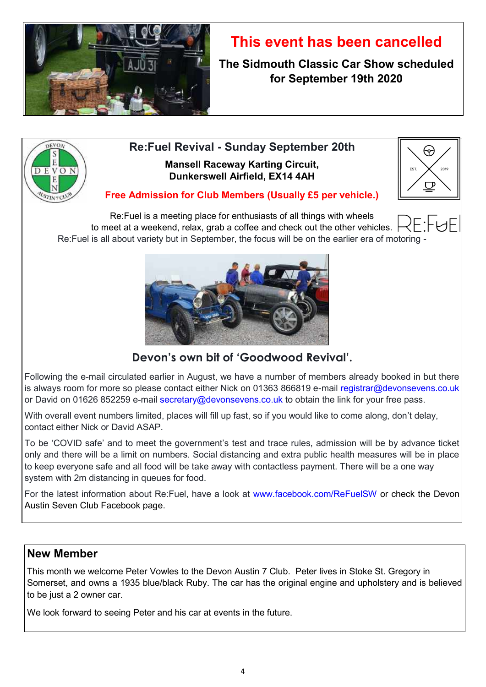

# **This event has been cancelled**

**The Sidmouth Classic Car Show scheduled for September 19th 2020**



# **Re:Fuel Revival - Sunday September 20th Mansell Raceway Karting Circuit, Dunkerswell Airfield, EX14 4AH**



### **Free Admission for Club Members (Usually £5 per vehicle.)**

Re:Fuel is a meeting place for enthusiasts of all things with wheels to meet at a weekend, relax, grab a coffee and check out the other vehicles. Re:Fuel is all about variety but in September, the focus will be on the earlier era of motoring -



# **Devon's own bit of 'Goodwood Revival'.**

Following the e-mail circulated earlier in August, we have a number of members already booked in but there is always room for more so please contact either Nick on 01363 866819 e-mail registrar@devonsevens.co.uk or David on 01626 852259 e-mail secretary@devonsevens.co.uk to obtain the link for your free pass.

With overall event numbers limited, places will fill up fast, so if you would like to come along, don't delay, contact either Nick or David ASAP.

To be 'COVID safe' and to meet the government's test and trace rules, admission will be by advance ticket only and there will be a limit on numbers. Social distancing and extra public health measures will be in place to keep everyone safe and all food will be take away with contactless payment. There will be a one way system with 2m distancing in queues for food.

For the latest information about Re:Fuel, have a look at www.facebook.com/ReFuelSW or check the Devon Austin Seven Club Facebook page.

### **New Member**

This month we welcome Peter Vowles to the Devon Austin 7 Club. Peter lives in Stoke St. Gregory in Somerset, and owns a 1935 blue/black Ruby. The car has the original engine and upholstery and is believed to be just a 2 owner car.

We look forward to seeing Peter and his car at events in the future.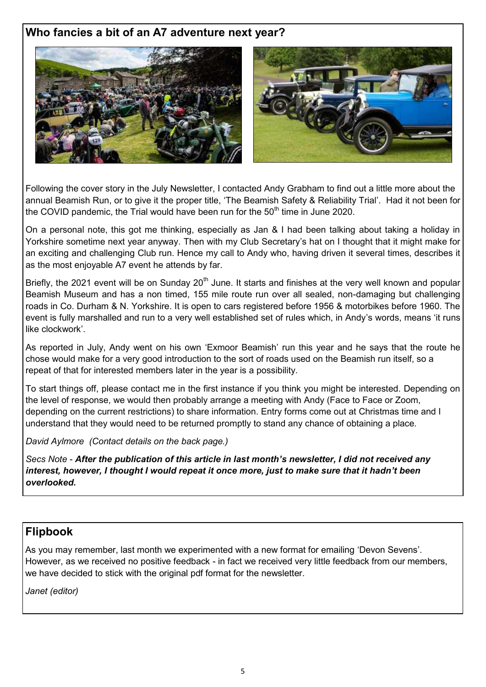# **Who fancies a bit of an A7 adventure next year?**



Following the cover story in the July Newsletter, I contacted Andy Grabham to find out a little more about the annual Beamish Run, or to give it the proper title, 'The Beamish Safety & Reliability Trial'. Had it not been for the COVID pandemic, the Trial would have been run for the  $50<sup>th</sup>$  time in June 2020.

On a personal note, this got me thinking, especially as Jan & I had been talking about taking a holiday in Yorkshire sometime next year anyway. Then with my Club Secretary's hat on I thought that it might make for an exciting and challenging Club run. Hence my call to Andy who, having driven it several times, describes it as the most enjoyable A7 event he attends by far.

Briefly, the 2021 event will be on Sunday 20<sup>th</sup> June. It starts and finishes at the very well known and popular Beamish Museum and has a non timed, 155 mile route run over all sealed, non-damaging but challenging roads in Co. Durham & N. Yorkshire. It is open to cars registered before 1956 & motorbikes before 1960. The event is fully marshalled and run to a very well established set of rules which, in Andy's words, means 'it runs like clockwork'.

As reported in July, Andy went on his own 'Exmoor Beamish' run this year and he says that the route he chose would make for a very good introduction to the sort of roads used on the Beamish run itself, so a repeat of that for interested members later in the year is a possibility.

To start things off, please contact me in the first instance if you think you might be interested. Depending on the level of response, we would then probably arrange a meeting with Andy (Face to Face or Zoom, depending on the current restrictions) to share information. Entry forms come out at Christmas time and I understand that they would need to be returned promptly to stand any chance of obtaining a place.

*David Aylmore (Contact details on the back page.)*

*Secs Note - After the publication of this article in last month's newsletter, I did not received any interest, however, I thought I would repeat it once more, just to make sure that it hadn't been overlooked.* 

# **Flipbook**

As you may remember, last month we experimented with a new format for emailing 'Devon Sevens'. However, as we received no positive feedback - in fact we received very little feedback from our members, we have decided to stick with the original pdf format for the newsletter.

*Janet (editor)*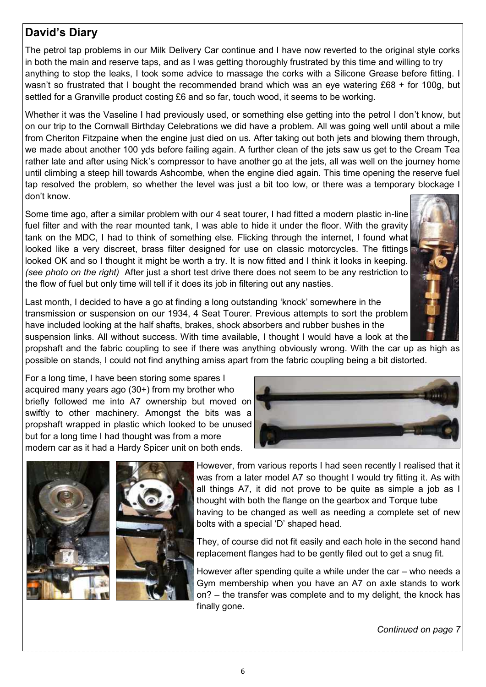# **David's Diary**

The petrol tap problems in our Milk Delivery Car continue and I have now reverted to the original style corks in both the main and reserve taps, and as I was getting thoroughly frustrated by this time and willing to try anything to stop the leaks, I took some advice to massage the corks with a Silicone Grease before fitting. I wasn't so frustrated that I bought the recommended brand which was an eye watering £68 + for 100g, but settled for a Granville product costing £6 and so far, touch wood, it seems to be working.

Whether it was the Vaseline I had previously used, or something else getting into the petrol I don't know, but on our trip to the Cornwall Birthday Celebrations we did have a problem. All was going well until about a mile from Cheriton Fitzpaine when the engine just died on us. After taking out both jets and blowing them through, we made about another 100 yds before failing again. A further clean of the jets saw us get to the Cream Tea rather late and after using Nick's compressor to have another go at the jets, all was well on the journey home until climbing a steep hill towards Ashcombe, when the engine died again. This time opening the reserve fuel tap resolved the problem, so whether the level was just a bit too low, or there was a temporary blockage I don't know.

Some time ago, after a similar problem with our 4 seat tourer, I had fitted a modern plastic in-line fuel filter and with the rear mounted tank, I was able to hide it under the floor. With the gravity tank on the MDC, I had to think of something else. Flicking through the internet, I found what looked like a very discreet, brass filter designed for use on classic motorcycles. The fittings looked OK and so I thought it might be worth a try. It is now fitted and I think it looks in keeping. *(see photo on the right)* After just a short test drive there does not seem to be any restriction to the flow of fuel but only time will tell if it does its job in filtering out any nasties.



Last month, I decided to have a go at finding a long outstanding 'knock' somewhere in the transmission or suspension on our 1934, 4 Seat Tourer. Previous attempts to sort the problem have included looking at the half shafts, brakes, shock absorbers and rubber bushes in the suspension links. All without success. With time available, I thought I would have a look at the

propshaft and the fabric coupling to see if there was anything obviously wrong. With the car up as high as possible on stands, I could not find anything amiss apart from the fabric coupling being a bit distorted.

For a long time, I have been storing some spares I acquired many years ago (30+) from my brother who briefly followed me into A7 ownership but moved on swiftly to other machinery. Amongst the bits was a propshaft wrapped in plastic which looked to be unused but for a long time I had thought was from a more modern car as it had a Hardy Spicer unit on both ends.







However, from various reports I had seen recently I realised that it was from a later model A7 so thought I would try fitting it. As with all things A7, it did not prove to be quite as simple a job as I thought with both the flange on the gearbox and Torque tube having to be changed as well as needing a complete set of new bolts with a special 'D' shaped head.

They, of course did not fit easily and each hole in the second hand replacement flanges had to be gently filed out to get a snug fit.

However after spending quite a while under the car – who needs a Gym membership when you have an A7 on axle stands to work on? – the transfer was complete and to my delight, the knock has finally gone.

*Continued on page 7*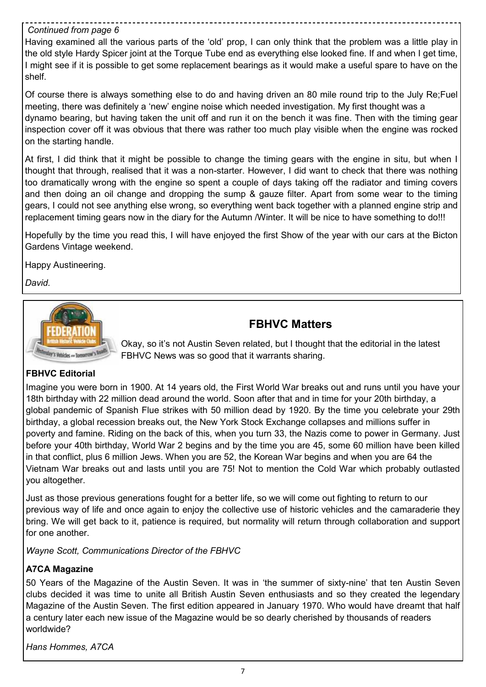#### *Continued from page 6*

Having examined all the various parts of the 'old' prop, I can only think that the problem was a little play in the old style Hardy Spicer joint at the Torque Tube end as everything else looked fine. If and when I get time, I might see if it is possible to get some replacement bearings as it would make a useful spare to have on the shelf.

Of course there is always something else to do and having driven an 80 mile round trip to the July Re;Fuel meeting, there was definitely a 'new' engine noise which needed investigation. My first thought was a dynamo bearing, but having taken the unit off and run it on the bench it was fine. Then with the timing gear inspection cover off it was obvious that there was rather too much play visible when the engine was rocked on the starting handle.

At first, I did think that it might be possible to change the timing gears with the engine in situ, but when I thought that through, realised that it was a non-starter. However, I did want to check that there was nothing too dramatically wrong with the engine so spent a couple of days taking off the radiator and timing covers and then doing an oil change and dropping the sump & gauze filter. Apart from some wear to the timing gears, I could not see anything else wrong, so everything went back together with a planned engine strip and replacement timing gears now in the diary for the Autumn /Winter. It will be nice to have something to do!!!

Hopefully by the time you read this, I will have enjoyed the first Show of the year with our cars at the Bicton Gardens Vintage weekend.

Happy Austineering.

*David.*



# **FBHVC Matters**

Okay, so it's not Austin Seven related, but I thought that the editorial in the latest FBHVC News was so good that it warrants sharing.

#### **FBHVC Editorial**

Imagine you were born in 1900. At 14 years old, the First World War breaks out and runs until you have your 18th birthday with 22 million dead around the world. Soon after that and in time for your 20th birthday, a global pandemic of Spanish Flue strikes with 50 million dead by 1920. By the time you celebrate your 29th birthday, a global recession breaks out, the New York Stock Exchange collapses and millions suffer in poverty and famine. Riding on the back of this, when you turn 33, the Nazis come to power in Germany. Just before your 40th birthday, World War 2 begins and by the time you are 45, some 60 million have been killed in that conflict, plus 6 million Jews. When you are 52, the Korean War begins and when you are 64 the Vietnam War breaks out and lasts until you are 75! Not to mention the Cold War which probably outlasted you altogether.

Just as those previous generations fought for a better life, so we will come out fighting to return to our previous way of life and once again to enjoy the collective use of historic vehicles and the camaraderie they bring. We will get back to it, patience is required, but normality will return through collaboration and support for one another.

*Wayne Scott, Communications Director of the FBHVC*

#### **A7CA Magazine**

50 Years of the Magazine of the Austin Seven. It was in 'the summer of sixty-nine' that ten Austin Seven clubs decided it was time to unite all British Austin Seven enthusiasts and so they created the legendary Magazine of the Austin Seven. The first edition appeared in January 1970. Who would have dreamt that half a century later each new issue of the Magazine would be so dearly cherished by thousands of readers worldwide?

*Hans Hommes, A7CA*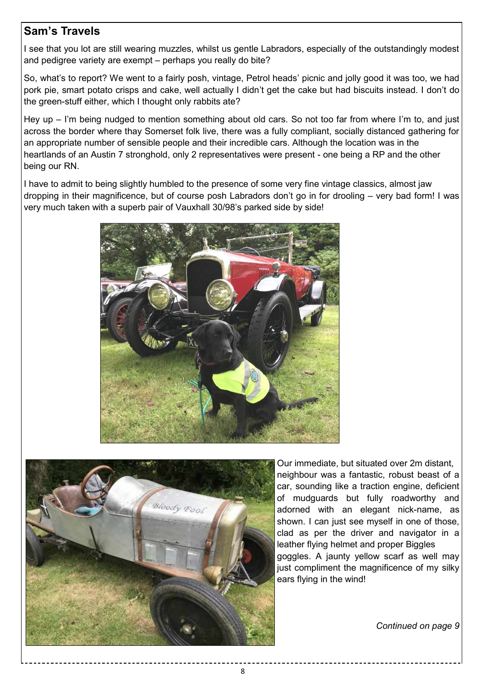# **Sam's Travels**

I see that you lot are still wearing muzzles, whilst us gentle Labradors, especially of the outstandingly modest and pedigree variety are exempt – perhaps you really do bite?

So, what's to report? We went to a fairly posh, vintage, Petrol heads' picnic and jolly good it was too, we had pork pie, smart potato crisps and cake, well actually I didn't get the cake but had biscuits instead. I don't do the green-stuff either, which I thought only rabbits ate?

Hey up – I'm being nudged to mention something about old cars. So not too far from where I'm to, and just across the border where thay Somerset folk live, there was a fully compliant, socially distanced gathering for an appropriate number of sensible people and their incredible cars. Although the location was in the heartlands of an Austin 7 stronghold, only 2 representatives were present - one being a RP and the other being our RN.

I have to admit to being slightly humbled to the presence of some very fine vintage classics, almost jaw dropping in their magnificence, but of course posh Labradors don't go in for drooling – very bad form! I was very much taken with a superb pair of Vauxhall 30/98's parked side by side!





Our immediate, but situated over 2m distant, neighbour was a fantastic, robust beast of a car, sounding like a traction engine, deficient of mudguards but fully roadworthy and adorned with an elegant nick-name, as shown. I can just see myself in one of those, clad as per the driver and navigator in a leather flying helmet and proper Biggles goggles. A jaunty yellow scarf as well may just compliment the magnificence of my silky ears flying in the wind!

*Continued on page 9*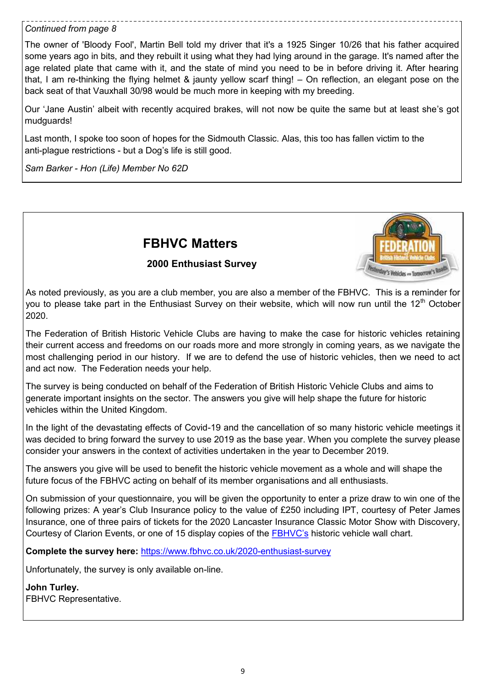#### *Continued from page 8*

The owner of 'Bloody Fool', Martin Bell told my driver that it's a 1925 Singer 10/26 that his father acquired some years ago in bits, and they rebuilt it using what they had lying around in the garage. It's named after the age related plate that came with it, and the state of mind you need to be in before driving it. After hearing that, I am re-thinking the flying helmet & jaunty yellow scarf thing! – On reflection, an elegant pose on the back seat of that Vauxhall 30/98 would be much more in keeping with my breeding.

Our 'Jane Austin' albeit with recently acquired brakes, will not now be quite the same but at least she's got mudguards!

Last month, I spoke too soon of hopes for the Sidmouth Classic. Alas, this too has fallen victim to the anti-plague restrictions - but a Dog's life is still good.

*Sam Barker - Hon (Life) Member No 62D* 

# **FBHVC Matters**

#### **2000 Enthusiast Survey**



As noted previously, as you are a club member, you are also a member of the FBHVC. This is a reminder for you to please take part in the Enthusiast Survey on their website, which will now run until the 12<sup>th</sup> October 2020.

The Federation of British Historic Vehicle Clubs are having to make the case for historic vehicles retaining their current access and freedoms on our roads more and more strongly in coming years, as we navigate the most challenging period in our history. If we are to defend the use of historic vehicles, then we need to act and act now. The Federation needs your help.

The survey is being conducted on behalf of the Federation of British Historic Vehicle Clubs and aims to generate important insights on the sector. The answers you give will help shape the future for historic vehicles within the United Kingdom.

In the light of the devastating effects of Covid-19 and the cancellation of so many historic vehicle meetings it was decided to bring forward the survey to use 2019 as the base year. When you complete the survey please consider your answers in the context of activities undertaken in the year to December 2019.

The answers you give will be used to benefit the historic vehicle movement as a whole and will shape the future focus of the FBHVC acting on behalf of its member organisations and all enthusiasts.

On submission of your questionnaire, you will be given the opportunity to enter a prize draw to win one of the following prizes: A year's Club Insurance policy to the value of £250 including IPT, courtesy of Peter James Insurance, one of three pairs of tickets for the 2020 Lancaster Insurance Classic Motor Show with Discovery, Courtesy of Clarion Events, or one of 15 display copies of the [FBHVC's](https://www.fbhvc.co.uk/2020-enthusiast-survey) historic vehicle wall chart.

**Complete the survey here:** [https://www.fbhvc.co.uk/2020](https://www.fbhvc.co.uk/2020-enthusiast-survey)-enthusiast-survey

Unfortunately, the survey is only available on-line.

**John Turley.** FBHVC Representative.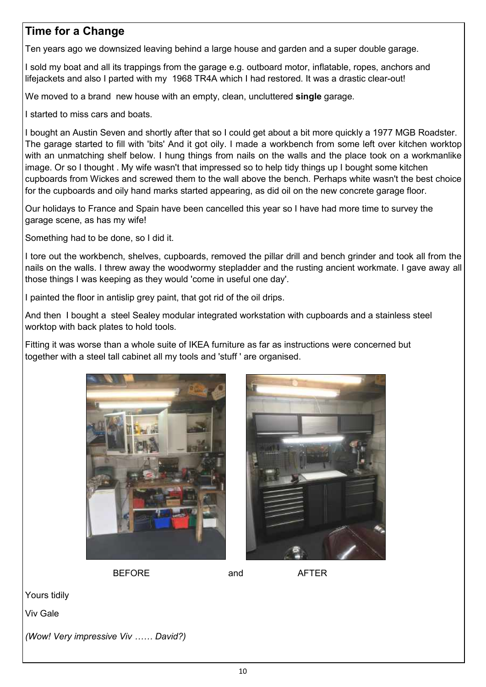# **Time for a Change**

Ten years ago we downsized leaving behind a large house and garden and a super double garage.

I sold my boat and all its trappings from the garage e.g. outboard motor, inflatable, ropes, anchors and lifejackets and also I parted with my 1968 TR4A which I had restored. It was a drastic clear-out!

We moved to a brand new house with an empty, clean, uncluttered **single** garage.

I started to miss cars and boats.

I bought an Austin Seven and shortly after that so I could get about a bit more quickly a 1977 MGB Roadster. The garage started to fill with 'bits' And it got oily. I made a workbench from some left over kitchen worktop with an unmatching shelf below. I hung things from nails on the walls and the place took on a workmanlike image. Or so I thought . My wife wasn't that impressed so to help tidy things up I bought some kitchen cupboards from Wickes and screwed them to the wall above the bench. Perhaps white wasn't the best choice for the cupboards and oily hand marks started appearing, as did oil on the new concrete garage floor.

Our holidays to France and Spain have been cancelled this year so I have had more time to survey the garage scene, as has my wife!

Something had to be done, so I did it.

I tore out the workbench, shelves, cupboards, removed the pillar drill and bench grinder and took all from the nails on the walls. I threw away the woodwormy stepladder and the rusting ancient workmate. I gave away all those things I was keeping as they would 'come in useful one day'.

I painted the floor in antislip grey paint, that got rid of the oil drips.

And then I bought a steel Sealey modular integrated workstation with cupboards and a stainless steel worktop with back plates to hold tools.

Fitting it was worse than a whole suite of IKEA furniture as far as instructions were concerned but together with a steel tall cabinet all my tools and 'stuff ' are organised.





BEFORE and AFTER

Yours tidily

Viv Gale

*(Wow! Very impressive Viv …… David?)*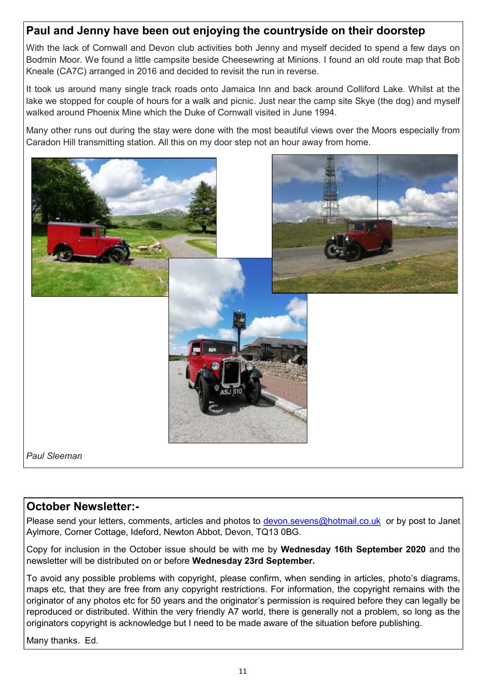# **Paul and Jenny have been out enjoying the countryside on their doorstep**

With the lack of Cornwall and Devon club activities both Jenny and myself decided to spend a few days on Bodmin Moor. We found a little campsite beside Cheesewring at Minions. I found an old route map that Bob Kneale (CA7C) arranged in 2016 and decided to revisit the run in reverse.

It took us around many single track roads onto Jamaica Inn and back around Colliford Lake. Whilst at the lake we stopped for couple of hours for a walk and picnic. Just near the camp site Skye (the dog) and myself walked around Phoenix Mine which the Duke of Cornwall visited in June 1994.

Many other runs out during the stay were done with the most beautiful views over the Moors especially from Caradon Hill transmitting station. All this on my door step not an hour away from home.



# **October Newsletter:-**

Please send your letters, comments, articles and photos to [devon.sevens@hotmail.co.uk](mailto:devon.sevens@hotmail.co.uk) or by post to Janet Aylmore, Corner Cottage, Ideford, Newton Abbot, Devon, TQ13 0BG.

Copy for inclusion in the October issue should be with me by **Wednesday 16th September 2020** and the newsletter will be distributed on or before **Wednesday 23rd September.**

To avoid any possible problems with copyright, please confirm, when sending in articles, photo's diagrams, maps etc, that they are free from any copyright restrictions. For information, the copyright remains with the originator of any photos etc for 50 years and the originator's permission is required before they can legally be reproduced or distributed. Within the very friendly A7 world, there is generally not a problem, so long as the originators copyright is acknowledge but I need to be made aware of the situation before publishing.

Many thanks. Ed.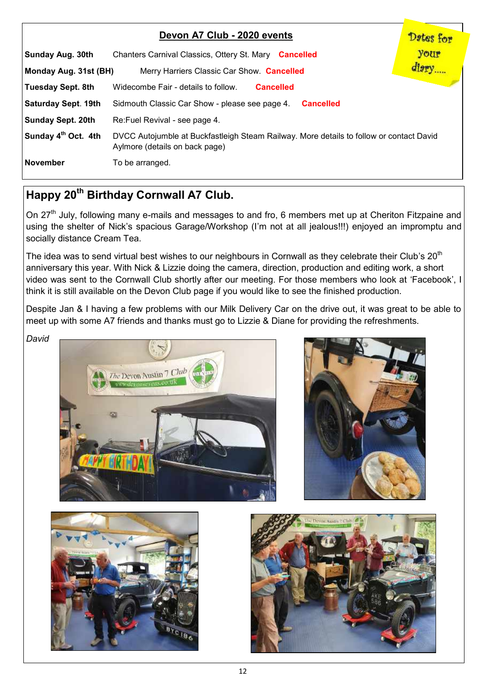|                                 | Devon A7 Club - 2020 events                                                                                               | Dates for |
|---------------------------------|---------------------------------------------------------------------------------------------------------------------------|-----------|
| Sunday Aug. 30th                | Chanters Carnival Classics, Ottery St. Mary Cancelled                                                                     | your      |
| Monday Aug. 31st (BH)           | Merry Harriers Classic Car Show. Cancelled                                                                                | diary     |
| Tuesday Sept. 8th               | Widecombe Fair - details to follow.<br><b>Cancelled</b>                                                                   |           |
| Saturday Sept. 19th             | Sidmouth Classic Car Show - please see page 4.<br><b>Cancelled</b>                                                        |           |
| Sunday Sept. 20th               | Re: Fuel Revival - see page 4.                                                                                            |           |
| Sunday 4 <sup>th</sup> Oct. 4th | DVCC Autojumble at Buckfastleigh Steam Railway. More details to follow or contact David<br>Aylmore (details on back page) |           |
| November                        | To be arranged.                                                                                                           |           |

# **Happy 20th Birthday Cornwall A7 Club.**

On 27<sup>th</sup> July, following many e-mails and messages to and fro, 6 members met up at Cheriton Fitzpaine and using the shelter of Nick's spacious Garage/Workshop (I'm not at all jealous!!!) enjoyed an impromptu and socially distance Cream Tea.

The idea was to send virtual best wishes to our neighbours in Cornwall as they celebrate their Club's 20<sup>th</sup> anniversary this year. With Nick & Lizzie doing the camera, direction, production and editing work, a short video was sent to the Cornwall Club shortly after our meeting. For those members who look at 'Facebook', I think it is still available on the Devon Club page if you would like to see the finished production.

Despite Jan & I having a few problems with our Milk Delivery Car on the drive out, it was great to be able to meet up with some A7 friends and thanks must go to Lizzie & Diane for providing the refreshments.

*David*







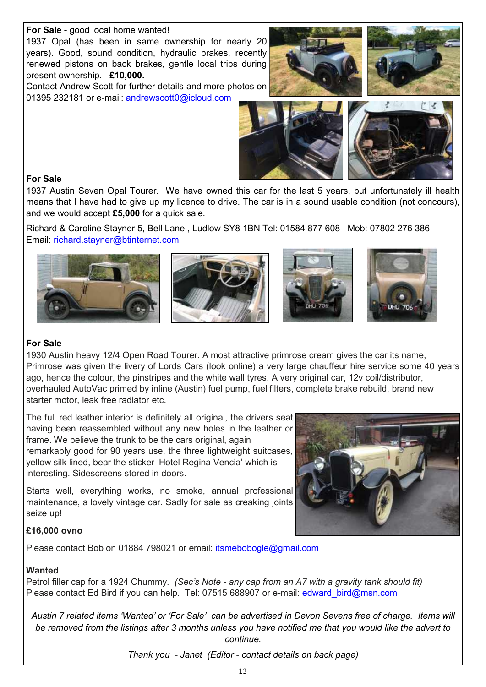#### **For Sale** - good local home wanted!

1937 Opal (has been in same ownership for nearly 20 years). Good, sound condition, hydraulic brakes, recently renewed pistons on back brakes, gentle local trips during present ownership. **£10,000.**

Contact Andrew Scott for further details and more photos on 01395 232181 or e-mail: andrewscott0@icloud.com







#### **For Sale**

1937 Austin Seven Opal Tourer. We have owned this car for the last 5 years, but unfortunately ill health means that I have had to give up my licence to drive. The car is in a sound usable condition (not concours), and we would accept **£5,000** for a quick sale.

Richard & Caroline Stayner 5, Bell Lane , Ludlow SY8 1BN Tel: 01584 877 608 Mob: 07802 276 386 Email: richard.stayner@btinternet.com



#### **For Sale**

1930 Austin heavy 12/4 Open Road Tourer. A most attractive primrose cream gives the car its name, Primrose was given the livery of Lords Cars (look online) a very large chauffeur hire service some 40 years ago, hence the colour, the pinstripes and the white wall tyres. A very original car, 12v coil/distributor, overhauled AutoVac primed by inline (Austin) fuel pump, fuel filters, complete brake rebuild, brand new starter motor, leak free radiator etc.

The full red leather interior is definitely all original, the drivers seat having been reassembled without any new holes in the leather or frame. We believe the trunk to be the cars original, again remarkably good for 90 years use, the three lightweight suitcases, yellow silk lined, bear the sticker 'Hotel Regina Vencia' which is interesting. Sidescreens stored in doors.

Starts well, everything works, no smoke, annual professional maintenance, a lovely vintage car. Sadly for sale as creaking joints seize up!



#### **£16,000 ovno**

Please contact Bob on 01884 798021 or email: [itsmebobogle@gmail.com](mailto:itsmebobogle@gmail.com)

#### **Wanted**

Petrol filler cap for a 1924 Chummy. *(Sec's Note - any cap from an A7 with a gravity tank should fit)* Please contact Ed Bird if you can help. Tel: 07515 688907 or e-mail: edward bird@msn.com

*Austin 7 related items 'Wanted' or 'For Sale' can be advertised in Devon Sevens free of charge. Items will be removed from the listings after 3 months unless you have notified me that you would like the advert to continue.* 

*Thank you - Janet (Editor - contact details on back page)*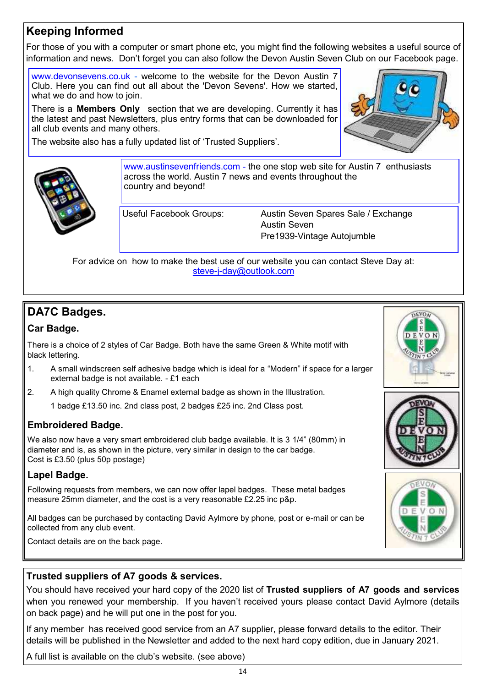# **Keeping Informed**

For those of you with a computer or smart phone etc, you might find the following websites a useful source of information and news. Don't forget you can also follow the Devon Austin Seven Club on our Facebook page.

www.devonsevens.co.uk - welcome to the website for the Devon Austin 7 Club. Here you can find out all about the 'Devon Sevens'. How we started, what we do and how to join.

There is a **Members Only** section that we are developing. Currently it has the latest and past Newsletters, plus entry forms that can be downloaded for all club events and many others.

The website also has a fully updated list of 'Trusted Suppliers'.





www.austinsevenfriends.com - the one stop web site for Austin 7 enthusiasts across the world. Austin 7 news and events throughout the country and beyond!

Useful Facebook Groups: Austin Seven Spares Sale / Exchange Austin Seven Pre1939-Vintage Autojumble

For advice on how to make the best use of our website you can contact Steve Day at: steve-j-[day@outlook.com](mailto:steve-j-day@outlook.com)

# **DA7C Badges.**

#### **Car Badge.**

There is a choice of 2 styles of Car Badge. Both have the same Green & White motif with black lettering.

- 1. A small windscreen self adhesive badge which is ideal for a "Modern" if space for a larger external badge is not available. - £1 each
- 2. A high quality Chrome & Enamel external badge as shown in the Illustration.

1 badge £13.50 inc. 2nd class post, 2 badges £25 inc. 2nd Class post.

#### **Embroidered Badge.**

We also now have a very smart embroidered club badge available. It is 3 1/4" (80mm) in diameter and is, as shown in the picture, very similar in design to the car badge. Cost is £3.50 (plus 50p postage)

#### **Lapel Badge.**

Following requests from members, we can now offer lapel badges. These metal badges measure 25mm diameter, and the cost is a very reasonable £2.25 inc p&p.

All badges can be purchased by contacting David Aylmore by phone, post or e-mail or can be collected from any club event.

Contact details are on the back page.





### **Trusted suppliers of A7 goods & services.**

You should have received your hard copy of the 2020 list of **Trusted suppliers of A7 goods and services**  when you renewed your membership. If you haven't received yours please contact David Aylmore (details on back page) and he will put one in the post for you.

If any member has received good service from an A7 supplier, please forward details to the editor. Their details will be published in the Newsletter and added to the next hard copy edition, due in January 2021.

A full list is available on the club's website. (see above)